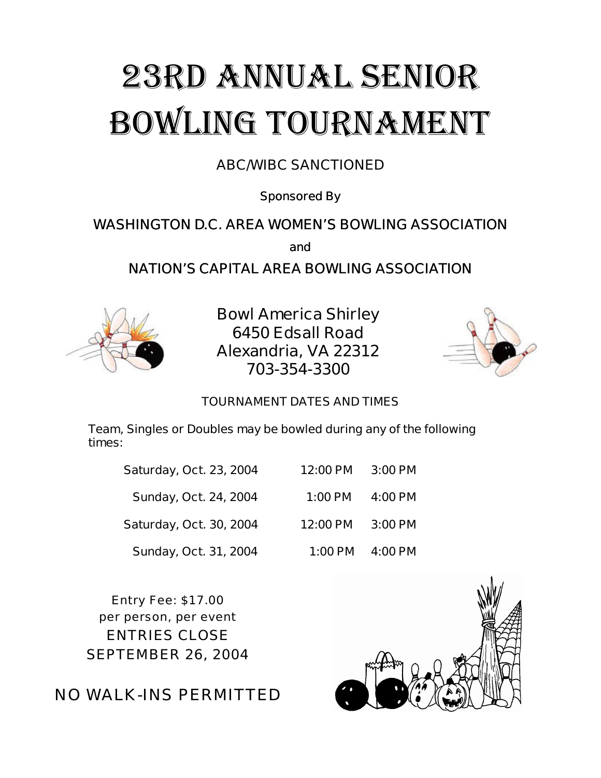# 23RD Annual Senior Bowling Tournament

## **ABC/WIBC SANCTIONED**

**Sponsored By**

## **WASHINGTON D.C. AREA WOMEN'S BOWLING ASSOCIATION**

**and**

## **NATION'S CAPITAL AREA BOWLING ASSOCIATION**



**Bowl America Shirley 6450 Edsall Road Alexandria, VA 22312 703-354-3300**



#### **TOURNAMENT DATES AND TIMES**

**Team, Singles or Doubles may be bowled during any of the following times:**

| <b>Saturday, Oct. 23, 2004</b> | 12:00 PM  | 3:00 PM |
|--------------------------------|-----------|---------|
| <b>Sunday, Oct. 24, 2004</b>   | $1:00$ PM | 4:00 PM |
| <b>Saturday, Oct. 30, 2004</b> | 12:00 PM  | 3:00 PM |
| Sunday, Oct. 31, 2004          | 1:00 PM   | 4:00 PM |

Entry Fee: \$17.00 per person, per event ENTRIES CLOSE SEPTEMBER 26, 2004

NO WALK-INS PERMITTED

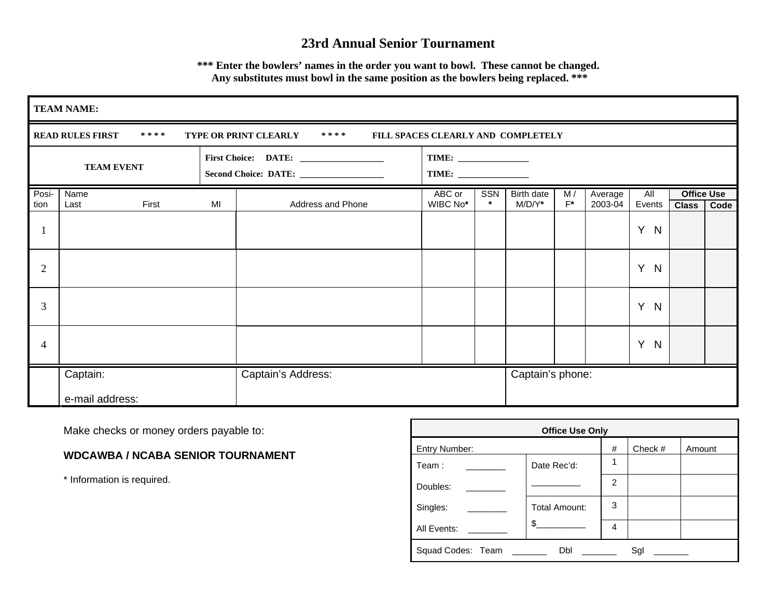### **23rd Annual Senior Tournament**

**\*\*\* Enter the bowlers' names in the order you want to bowl. These cannot be changed. Any substitutes must bowl in the same position as the bowlers being replaced. \*\*\***

|                | <b>TEAM NAME:</b>                                                                                         |    |                    |                    |                |                         |             |                    |               |                                   |      |
|----------------|-----------------------------------------------------------------------------------------------------------|----|--------------------|--------------------|----------------|-------------------------|-------------|--------------------|---------------|-----------------------------------|------|
|                | <b>READ RULES FIRST</b><br>****<br>TYPE OR PRINT CLEARLY<br>* * * *<br>FILL SPACES CLEARLY AND COMPLETELY |    |                    |                    |                |                         |             |                    |               |                                   |      |
|                | <b>TEAM EVENT</b>                                                                                         |    |                    |                    |                |                         |             |                    |               |                                   |      |
| Posi-<br>tion  | Name<br>First<br>Last                                                                                     | MI | Address and Phone  | ABC or<br>WIBC No* | SSN<br>$\star$ | Birth date<br>$M/D/Y^*$ | M/<br>$F^*$ | Average<br>2003-04 | All<br>Events | <b>Office Use</b><br><b>Class</b> | Code |
|                |                                                                                                           |    |                    |                    |                |                         |             |                    | Y.<br>N       |                                   |      |
| $\overline{2}$ |                                                                                                           |    |                    |                    |                |                         |             |                    | Y N           |                                   |      |
| 3              |                                                                                                           |    |                    |                    |                |                         |             |                    | Y N           |                                   |      |
| 4              |                                                                                                           |    |                    |                    |                |                         |             |                    | Y N           |                                   |      |
|                | Captain:                                                                                                  |    | Captain's Address: |                    |                | Captain's phone:        |             |                    |               |                                   |      |
|                | e-mail address:                                                                                           |    |                    |                    |                |                         |             |                    |               |                                   |      |

Make checks or money orders payable to:

**WDCAWBA / NCABA SENIOR TOURNAMENT**

\* Information is required.

| <b>Office Use Only</b>          |               |   |         |        |  |  |  |  |
|---------------------------------|---------------|---|---------|--------|--|--|--|--|
| Entry Number:                   |               | # | Check # | Amount |  |  |  |  |
| Team:                           | Date Rec'd:   | 1 |         |        |  |  |  |  |
| Doubles:                        |               | 2 |         |        |  |  |  |  |
| Singles:                        | Total Amount: | 3 |         |        |  |  |  |  |
| All Events:                     | $\frac{1}{2}$ | 4 |         |        |  |  |  |  |
| Squad Codes: Team ______<br>Sgl |               |   |         |        |  |  |  |  |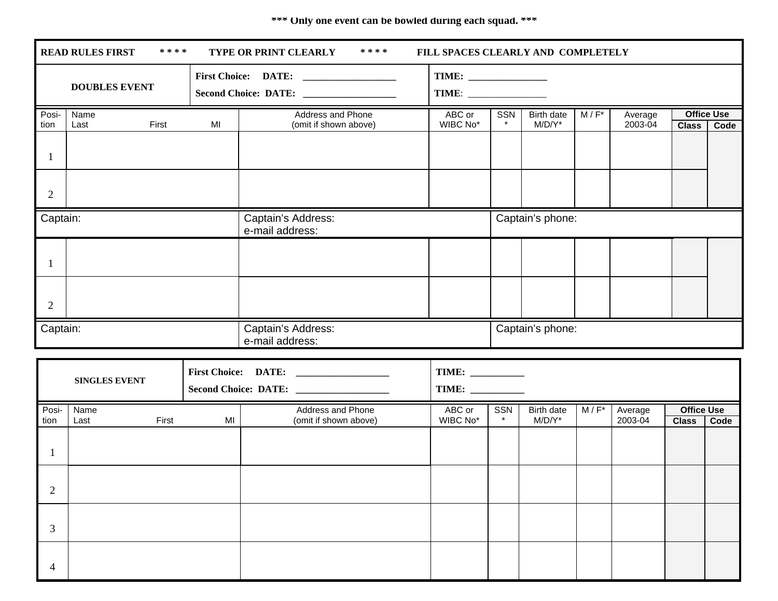#### **\*\*\* Only one event can be bowled during each squad. \*\*\***

|                      | ****<br><b>READ RULES FIRST</b><br>* * * *<br><b>TYPE OR PRINT CLEARLY</b><br>FILL SPACES CLEARLY AND COMPLETELY |                                       |    |                       |                  |         |            |         |         |                   |      |
|----------------------|------------------------------------------------------------------------------------------------------------------|---------------------------------------|----|-----------------------|------------------|---------|------------|---------|---------|-------------------|------|
| <b>DOUBLES EVENT</b> |                                                                                                                  |                                       |    | Second Choice: DATE:  |                  |         |            |         |         |                   |      |
| Posi-                | Name                                                                                                             |                                       |    | Address and Phone     | ABC or           | SSN     | Birth date | $M/F^*$ | Average | <b>Office Use</b> |      |
| tion                 | Last                                                                                                             | First                                 | MI | (omit if shown above) | WIBC No*         | $\star$ | $M/D/Y^*$  |         | 2003-04 | <b>Class</b>      | Code |
|                      |                                                                                                                  |                                       |    |                       |                  |         |            |         |         |                   |      |
| $\overline{2}$       |                                                                                                                  |                                       |    |                       |                  |         |            |         |         |                   |      |
| Captain:             |                                                                                                                  | Captain's Address:<br>e-mail address: |    |                       | Captain's phone: |         |            |         |         |                   |      |
|                      |                                                                                                                  |                                       |    |                       |                  |         |            |         |         |                   |      |
| $\overline{2}$       |                                                                                                                  |                                       |    |                       |                  |         |            |         |         |                   |      |
| Captain:             |                                                                                                                  | Captain's Address:<br>e-mail address: |    | Captain's phone:      |                  |         |            |         |         |                   |      |

|               | <b>SINGLES EVENT</b>  |    | First Choice: DATE:                        | <b>TIME:</b><br>TIME: |                |                         |         |                    |                                   |      |
|---------------|-----------------------|----|--------------------------------------------|-----------------------|----------------|-------------------------|---------|--------------------|-----------------------------------|------|
| Posi-<br>tion | Name<br>First<br>Last | MI | Address and Phone<br>(omit if shown above) | ABC or<br>WIBC No*    | SSN<br>$\star$ | Birth date<br>$M/D/Y^*$ | $M/F^*$ | Average<br>2003-04 | <b>Office Use</b><br><b>Class</b> | Code |
|               |                       |    |                                            |                       |                |                         |         |                    |                                   |      |
| 2             |                       |    |                                            |                       |                |                         |         |                    |                                   |      |
| 3             |                       |    |                                            |                       |                |                         |         |                    |                                   |      |
| 4             |                       |    |                                            |                       |                |                         |         |                    |                                   |      |